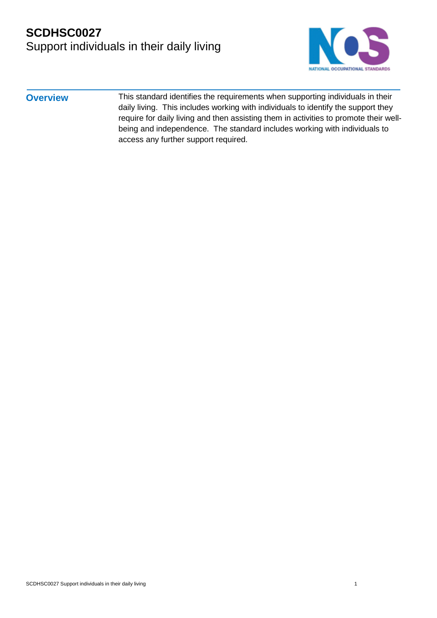

**Overview** This standard identifies the requirements when supporting individuals in their daily living. This includes working with individuals to identify the support they require for daily living and then assisting them in activities to promote their wellbeing and independence. The standard includes working with individuals to access any further support required.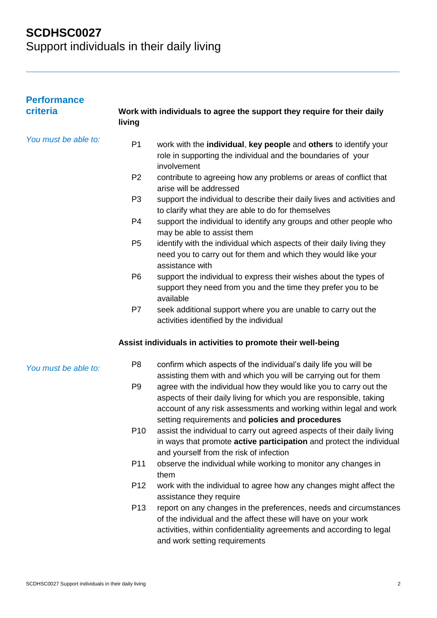Support individuals in their daily living

| <b>Performance</b>   |                 |                                                                                                                                                                                                                                                                    |
|----------------------|-----------------|--------------------------------------------------------------------------------------------------------------------------------------------------------------------------------------------------------------------------------------------------------------------|
| criteria             | living          | Work with individuals to agree the support they require for their daily                                                                                                                                                                                            |
| You must be able to: | P <sub>1</sub>  | work with the individual, key people and others to identify your<br>role in supporting the individual and the boundaries of your<br>involvement                                                                                                                    |
|                      | P <sub>2</sub>  | contribute to agreeing how any problems or areas of conflict that<br>arise will be addressed                                                                                                                                                                       |
|                      | P <sub>3</sub>  | support the individual to describe their daily lives and activities and<br>to clarify what they are able to do for themselves                                                                                                                                      |
|                      | P <sub>4</sub>  | support the individual to identify any groups and other people who<br>may be able to assist them                                                                                                                                                                   |
|                      | P <sub>5</sub>  | identify with the individual which aspects of their daily living they<br>need you to carry out for them and which they would like your<br>assistance with                                                                                                          |
|                      | P <sub>6</sub>  | support the individual to express their wishes about the types of<br>support they need from you and the time they prefer you to be<br>available                                                                                                                    |
|                      | P7              | seek additional support where you are unable to carry out the<br>activities identified by the individual                                                                                                                                                           |
|                      |                 | Assist individuals in activities to promote their well-being                                                                                                                                                                                                       |
| You must be able to: | P <sub>8</sub>  | confirm which aspects of the individual's daily life you will be<br>assisting them with and which you will be carrying out for them                                                                                                                                |
|                      | P <sub>9</sub>  | agree with the individual how they would like you to carry out the<br>aspects of their daily living for which you are responsible, taking<br>account of any risk assessments and working within legal and work<br>setting requirements and policies and procedures |
|                      | P <sub>10</sub> | assist the individual to carry out agreed aspects of their daily living<br>in ways that promote active participation and protect the individual<br>and yourself from the risk of infection                                                                         |
|                      | P11             | observe the individual while working to monitor any changes in<br>them                                                                                                                                                                                             |
|                      | P <sub>12</sub> | work with the individual to agree how any changes might affect the<br>assistance they require                                                                                                                                                                      |
|                      | P <sub>13</sub> | report on any changes in the preferences, needs and circumstances<br>of the individual and the affect these will have on your work<br>activities, within confidentiality agreements and according to legal<br>and work setting requirements                        |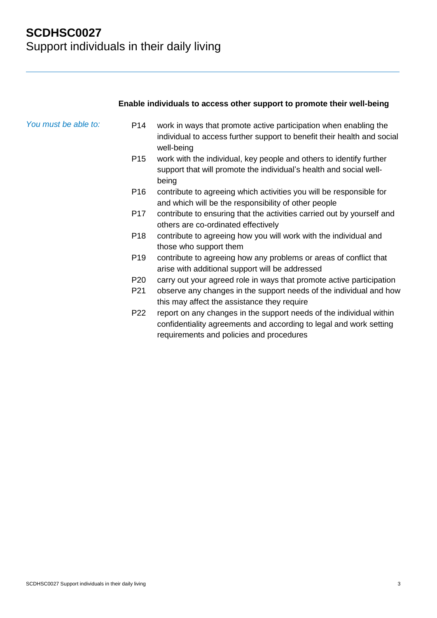### **Enable individuals to access other support to promote their well-being**

| You must be able to: | P <sub>14</sub> | work in ways that promote active participation when enabling the<br>individual to access further support to benefit their health and social<br>well-being                             |
|----------------------|-----------------|---------------------------------------------------------------------------------------------------------------------------------------------------------------------------------------|
|                      | P <sub>15</sub> | work with the individual, key people and others to identify further<br>support that will promote the individual's health and social well-<br>being                                    |
|                      | P <sub>16</sub> | contribute to agreeing which activities you will be responsible for<br>and which will be the responsibility of other people                                                           |
|                      | P17             | contribute to ensuring that the activities carried out by yourself and<br>others are co-ordinated effectively                                                                         |
|                      | P <sub>18</sub> | contribute to agreeing how you will work with the individual and<br>those who support them                                                                                            |
|                      | P <sub>19</sub> | contribute to agreeing how any problems or areas of conflict that<br>arise with additional support will be addressed                                                                  |
|                      | P <sub>20</sub> | carry out your agreed role in ways that promote active participation                                                                                                                  |
|                      | P21             | observe any changes in the support needs of the individual and how<br>this may affect the assistance they require                                                                     |
|                      | P22             | report on any changes in the support needs of the individual within<br>confidentiality agreements and according to legal and work setting<br>requirements and policies and procedures |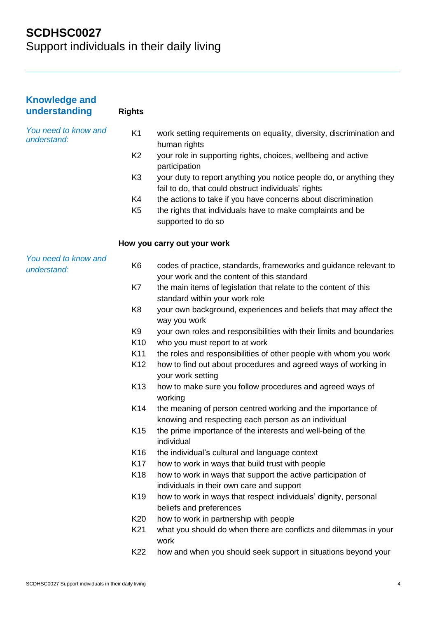Support individuals in their daily living

| <b>Knowledge and</b><br>understanding | <b>Rights</b>   |                                                                                                                            |
|---------------------------------------|-----------------|----------------------------------------------------------------------------------------------------------------------------|
| You need to know and<br>understand:   | K <sub>1</sub>  | work setting requirements on equality, diversity, discrimination and<br>human rights                                       |
|                                       | K <sub>2</sub>  | your role in supporting rights, choices, wellbeing and active<br>participation                                             |
|                                       | K <sub>3</sub>  | your duty to report anything you notice people do, or anything they<br>fail to do, that could obstruct individuals' rights |
|                                       | K4              | the actions to take if you have concerns about discrimination                                                              |
|                                       | K <sub>5</sub>  | the rights that individuals have to make complaints and be<br>supported to do so                                           |
|                                       |                 | How you carry out your work                                                                                                |
| You need to know and<br>understand:   | K <sub>6</sub>  | codes of practice, standards, frameworks and guidance relevant to<br>your work and the content of this standard            |
|                                       | K7              | the main items of legislation that relate to the content of this<br>standard within your work role                         |
|                                       | K <sub>8</sub>  | your own background, experiences and beliefs that may affect the<br>way you work                                           |
|                                       | K9              | your own roles and responsibilities with their limits and boundaries                                                       |
|                                       | K <sub>10</sub> | who you must report to at work                                                                                             |
|                                       | K11             | the roles and responsibilities of other people with whom you work                                                          |
|                                       | K <sub>12</sub> | how to find out about procedures and agreed ways of working in<br>your work setting                                        |
|                                       | K <sub>13</sub> | how to make sure you follow procedures and agreed ways of<br>working                                                       |
|                                       | K <sub>14</sub> | the meaning of person centred working and the importance of<br>knowing and respecting each person as an individual         |
|                                       | K <sub>15</sub> | the prime importance of the interests and well-being of the<br>individual                                                  |
|                                       | K <sub>16</sub> | the individual's cultural and language context                                                                             |
|                                       | K <sub>17</sub> | how to work in ways that build trust with people                                                                           |
|                                       | K <sub>18</sub> | how to work in ways that support the active participation of<br>individuals in their own care and support                  |
|                                       | K <sub>19</sub> | how to work in ways that respect individuals' dignity, personal<br>beliefs and preferences                                 |
|                                       | K <sub>20</sub> | how to work in partnership with people                                                                                     |
|                                       | K <sub>21</sub> | what you should do when there are conflicts and dilemmas in your<br>work                                                   |
|                                       | K22             | how and when you should seek support in situations beyond your                                                             |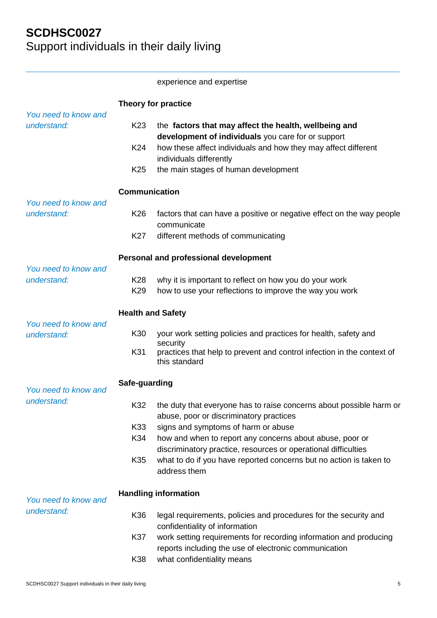# **SCDHSC0027** Support individuals in their daily living

|                                     |                          | experience and expertise                                                                                                   |  |
|-------------------------------------|--------------------------|----------------------------------------------------------------------------------------------------------------------------|--|
|                                     | Theory for practice      |                                                                                                                            |  |
| You need to know and<br>understand: | K <sub>23</sub>          | the factors that may affect the health, wellbeing and<br>development of individuals you care for or support                |  |
|                                     | K24                      | how these affect individuals and how they may affect different<br>individuals differently                                  |  |
|                                     | K <sub>25</sub>          | the main stages of human development                                                                                       |  |
| You need to know and                | <b>Communication</b>     |                                                                                                                            |  |
| understand:                         | K <sub>26</sub>          | factors that can have a positive or negative effect on the way people<br>communicate                                       |  |
|                                     | K27                      | different methods of communicating                                                                                         |  |
| You need to know and                |                          | Personal and professional development                                                                                      |  |
| understand:                         | K28                      | why it is important to reflect on how you do your work                                                                     |  |
|                                     | K <sub>29</sub>          | how to use your reflections to improve the way you work                                                                    |  |
|                                     | <b>Health and Safety</b> |                                                                                                                            |  |
| You need to know and<br>understand: | K30                      | your work setting policies and practices for health, safety and<br>security                                                |  |
|                                     | K31                      | practices that help to prevent and control infection in the context of<br>this standard                                    |  |
| You need to know and                | Safe-guarding            |                                                                                                                            |  |
| understand:                         | K32                      | the duty that everyone has to raise concerns about possible harm or<br>abuse, poor or discriminatory practices             |  |
|                                     | K33                      | signs and symptoms of harm or abuse                                                                                        |  |
|                                     | K34                      | how and when to report any concerns about abuse, poor or<br>discriminatory practice, resources or operational difficulties |  |
|                                     | K35                      | what to do if you have reported concerns but no action is taken to<br>address them                                         |  |
| You need to know and                |                          | <b>Handling information</b>                                                                                                |  |
| understand:                         | K36                      | legal requirements, policies and procedures for the security and<br>confidentiality of information                         |  |
|                                     | K37                      | work setting requirements for recording information and producing<br>reports including the use of electronic communication |  |
|                                     | K38                      | what confidentiality means                                                                                                 |  |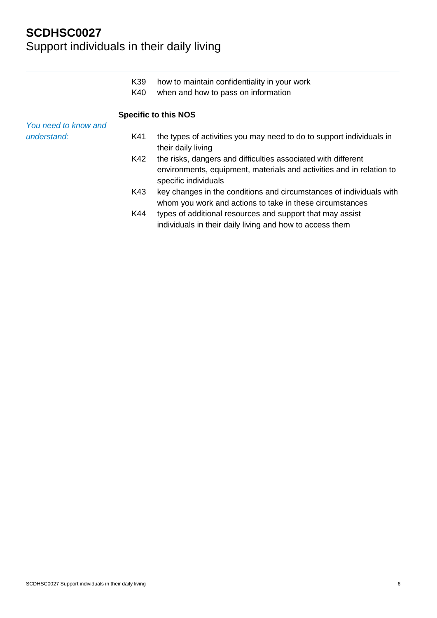# **SCDHSC0027** Support individuals in their daily living

|                      | K39<br>K40 | how to maintain confidentiality in your work<br>when and how to pass on information                                                                           |
|----------------------|------------|---------------------------------------------------------------------------------------------------------------------------------------------------------------|
|                      |            | <b>Specific to this NOS</b>                                                                                                                                   |
| You need to know and |            |                                                                                                                                                               |
| understand:          | K41        | the types of activities you may need to do to support individuals in<br>their daily living                                                                    |
|                      | K42        | the risks, dangers and difficulties associated with different<br>environments, equipment, materials and activities and in relation to<br>specific individuals |
|                      | K43        | key changes in the conditions and circumstances of individuals with<br>whom you work and actions to take in these circumstances                               |
|                      | K44        | types of additional resources and support that may assist<br>individuals in their daily living and how to access them                                         |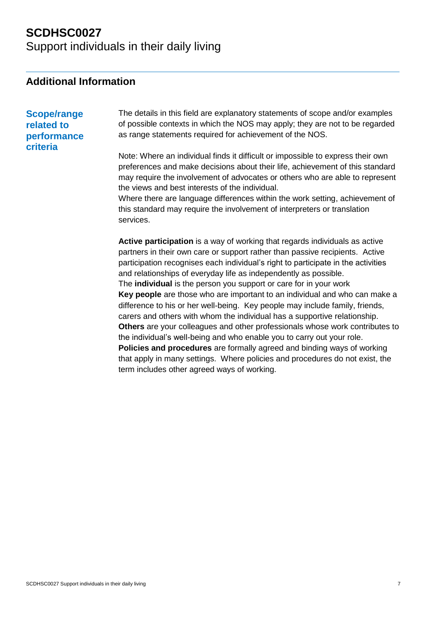Support individuals in their daily living

### **Additional Information**

**Scope/range related to performance criteria**

The details in this field are explanatory statements of scope and/or examples of possible contexts in which the NOS may apply; they are not to be regarded as range statements required for achievement of the NOS.

Note: Where an individual finds it difficult or impossible to express their own preferences and make decisions about their life, achievement of this standard may require the involvement of advocates or others who are able to represent the views and best interests of the individual.

Where there are language differences within the work setting, achievement of this standard may require the involvement of interpreters or translation services.

**Active participation** is a way of working that regards individuals as active partners in their own care or support rather than passive recipients. Active participation recognises each individual's right to participate in the activities and relationships of everyday life as independently as possible. The **individual** is the person you support or care for in your work **Key people** are those who are important to an individual and who can make a difference to his or her well-being. Key people may include family, friends, carers and others with whom the individual has a supportive relationship. **Others** are your colleagues and other professionals whose work contributes to the individual's well-being and who enable you to carry out your role. **Policies and procedures** are formally agreed and binding ways of working that apply in many settings. Where policies and procedures do not exist, the term includes other agreed ways of working.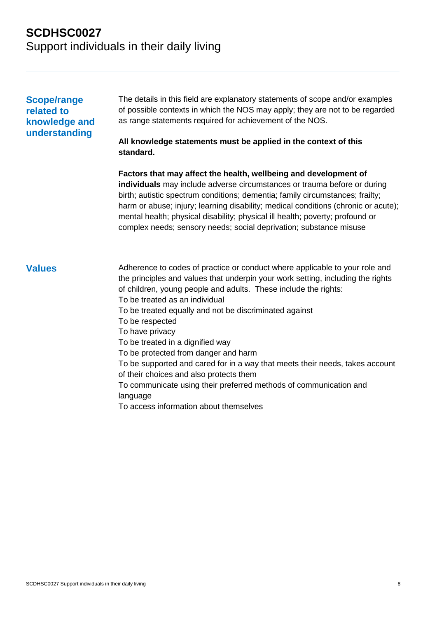## **SCDHSC0027** Support individuals in their daily living

#### **Scope/range related to knowledge and understanding**

The details in this field are explanatory statements of scope and/or examples of possible contexts in which the NOS may apply; they are not to be regarded as range statements required for achievement of the NOS.

#### **All knowledge statements must be applied in the context of this standard.**

**Factors that may affect the health, wellbeing and development of individuals** may include adverse circumstances or trauma before or during birth; autistic spectrum conditions; dementia; family circumstances; frailty; harm or abuse; injury; learning disability; medical conditions (chronic or acute); mental health; physical disability; physical ill health; poverty; profound or complex needs; sensory needs; social deprivation; substance misuse

**Values** Adherence to codes of practice or conduct where applicable to your role and the principles and values that underpin your work setting, including the rights of children, young people and adults. These include the rights: To be treated as an individual To be treated equally and not be discriminated against To be respected To have privacy To be treated in a dignified way To be protected from danger and harm To be supported and cared for in a way that meets their needs, takes account of their choices and also protects them To communicate using their preferred methods of communication and language To access information about themselves